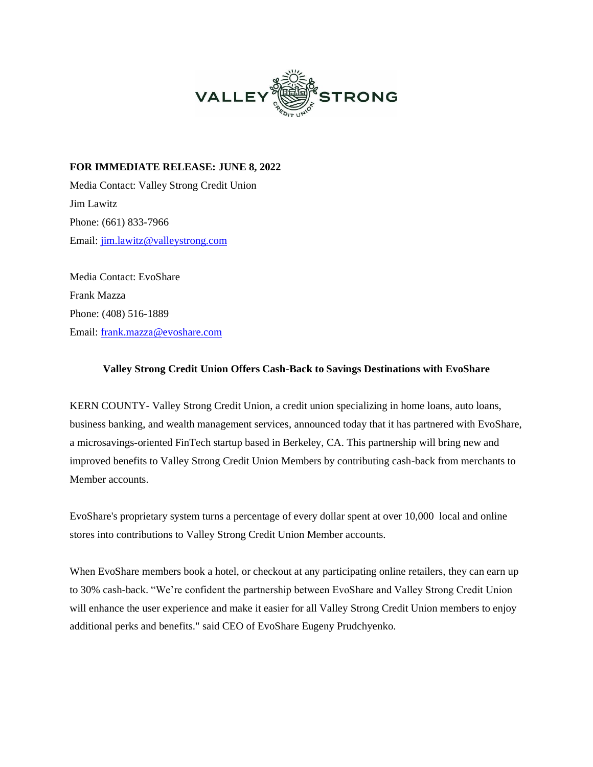

**FOR IMMEDIATE RELEASE: JUNE 8, 2022** Media Contact: Valley Strong Credit Union Jim Lawitz Phone: (661) 833-7966 Email: [jim.lawitz@valleystrong.com](mailto:jim.lawitz@valleystrong.com)

Media Contact: EvoShare Frank Mazza Phone: (408) 516-1889 Email: [frank.mazza@evoshare.com](mailto:frank.mazza@evoshare.com)

## **Valley Strong Credit Union Offers Cash-Back to Savings Destinations with EvoShare**

KERN COUNTY- Valley Strong Credit Union, a credit union specializing in home loans, auto loans, business banking, and wealth management services, announced today that it has partnered with EvoShare, a microsavings-oriented FinTech startup based in Berkeley, CA. This partnership will bring new and improved benefits to Valley Strong Credit Union Members by contributing cash-back from merchants to Member accounts.

EvoShare's proprietary system turns a percentage of every dollar spent at over 10,000 local and online stores into contributions to Valley Strong Credit Union Member accounts.

When EvoShare members book a hotel, or checkout at any participating online retailers, they can earn up to 30% cash-back. "We're confident the partnership between EvoShare and Valley Strong Credit Union will enhance the user experience and make it easier for all Valley Strong Credit Union members to enjoy additional perks and benefits." said CEO of EvoShare Eugeny Prudchyenko.